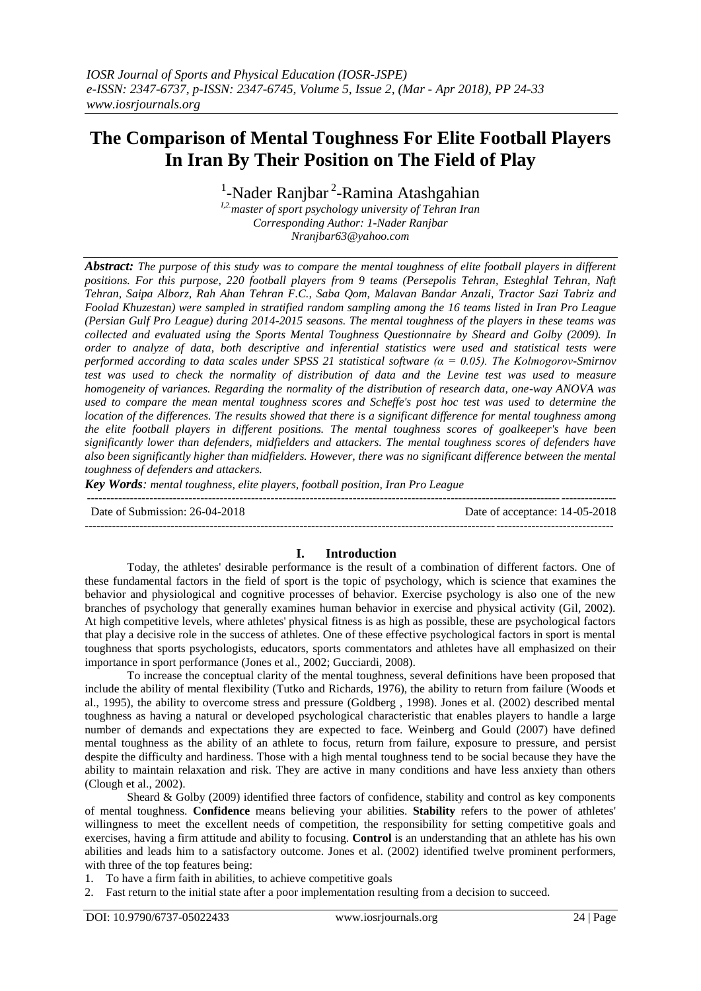# **The Comparison of Mental Toughness For Elite Football Players In Iran By Their Position on The Field of Play**

<sup>1</sup>-Nader Ranjbar<sup>2</sup>-Ramina Atashgahian

*I,2.master of sport psychology university of Tehran Iran Corresponding Author: 1-Nader Ranjbar Nranjbar63@yahoo.com*

*Abstract: The purpose of this study was to compare the mental toughness of elite football players in different positions. For this purpose, 220 football players from 9 teams (Persepolis Tehran, Esteghlal Tehran, Naft Tehran, Saipa Alborz, Rah Ahan Tehran F.C., Saba Qom, Malavan Bandar Anzali, Tractor Sazi Tabriz and Foolad Khuzestan) were sampled in stratified random sampling among the 16 teams listed in Iran Pro League (Persian Gulf Pro League) during 2014-2015 seasons. The mental toughness of the players in these teams was collected and evaluated using the [Sports Mental Toughness Questionnaire](https://www.researchgate.net/profile/Richard_Cowden2/publication/311614099_Sports_Mental_Toughness_Questionnaire_Evaluation_for_use_in_South_African_competitive_tennis/links/59f95497aca272607e2f753c/Sports-Mental-Toughness-Questionnaire-Evaluation-for-use-in-South-African-competitive-tennis.pdf) by Sheard and Golby (2009). In order to analyze of data, both descriptive and inferential statistics were used and statistical tests were performed according to data scales under SPSS 21 statistical software (α = 0.05). The Kolmogorov-Smirnov test was used to check the normality of distribution of data and the Levine test was used to measure homogeneity of variances. Regarding the normality of the distribution of research data, one-way ANOVA was used to compare the mean mental toughness scores and Scheffe's post hoc test was used to determine the location of the differences. The results showed that there is a significant difference for mental toughness among the elite football players in different positions. The mental toughness scores of goalkeeper's have been significantly lower than defenders, midfielders and attackers. The mental toughness scores of defenders have also been significantly higher than midfielders. However, there was no significant difference between the mental toughness of defenders and attackers.*

*Key Words: mental toughness, elite players, football position, Iran Pro League*

--------------------------------------------------------------------------------------------------------------------------------------- Date of Submission: 26-04-2018 Date of acceptance: 14-05-2018 ---------------------------------------------------------------------------------------------------------------------------------------

# **I. Introduction**

Today, the athletes' desirable performance is the result of a combination of different factors. One of these fundamental factors in the field of sport is the topic of psychology, which is science that examines the behavior and physiological and cognitive processes of behavior. Exercise psychology is also one of the new branches of psychology that generally examines human behavior in exercise and physical activity (Gil, 2002). At high competitive levels, where athletes' physical fitness is as high as possible, these are psychological factors that play a decisive role in the success of athletes. One of these effective psychological factors in sport is mental toughness that sports psychologists, educators, sports commentators and athletes have all emphasized on their importance in sport performance (Jones et al., 2002; Gucciardi, 2008).

To increase the conceptual clarity of the mental toughness, several definitions have been proposed that include the ability of mental flexibility (Tutko and Richards, 1976), the ability to return from failure (Woods et al., 1995), the ability to overcome stress and pressure (Goldberg , 1998). Jones et al. (2002) described mental toughness as having a natural or developed psychological characteristic that enables players to handle a large number of demands and expectations they are expected to face. Weinberg and Gould (2007) have defined mental toughness as the ability of an athlete to focus, return from failure, exposure to pressure, and persist despite the difficulty and hardiness. Those with a high mental toughness tend to be social because they have the ability to maintain relaxation and risk. They are active in many conditions and have less anxiety than others (Clough et al., 2002).

Sheard & Golby (2009) identified three factors of confidence, stability and control as key components of mental toughness. **Confidence** means believing your abilities. **Stability** refers to the power of athletes' willingness to meet the excellent needs of competition, the responsibility for setting competitive goals and exercises, having a firm attitude and ability to focusing. **Control** is an understanding that an athlete has his own abilities and leads him to a satisfactory outcome. Jones et al. (2002) identified twelve prominent performers, with three of the top features being:

1. To have a firm faith in abilities, to achieve competitive goals

2. Fast return to the initial state after a poor implementation resulting from a decision to succeed.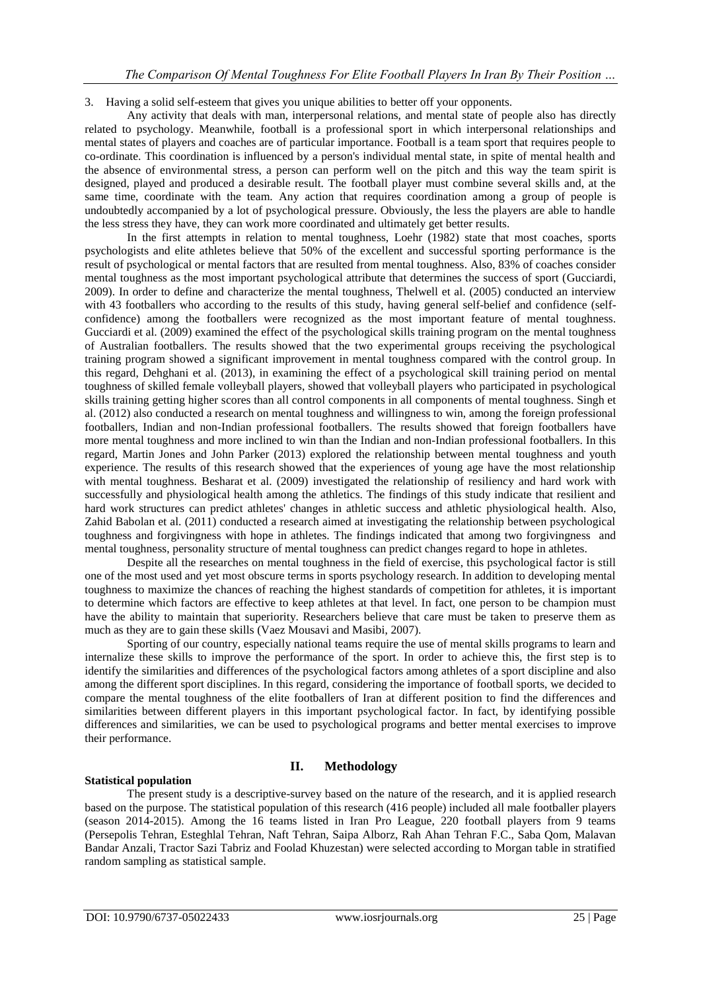## 3. Having a solid self-esteem that gives you unique abilities to better off your opponents.

Any activity that deals with man, interpersonal relations, and mental state of people also has directly related to psychology. Meanwhile, football is a professional sport in which interpersonal relationships and mental states of players and coaches are of particular importance. Football is a team sport that requires people to co-ordinate. This coordination is influenced by a person's individual mental state, in spite of mental health and the absence of environmental stress, a person can perform well on the pitch and this way the team spirit is designed, played and produced a desirable result. The football player must combine several skills and, at the same time, coordinate with the team. Any action that requires coordination among a group of people is undoubtedly accompanied by a lot of psychological pressure. Obviously, the less the players are able to handle the less stress they have, they can work more coordinated and ultimately get better results.

In the first attempts in relation to mental toughness, Loehr (1982) state that most coaches, sports psychologists and elite athletes believe that 50% of the excellent and successful sporting performance is the result of psychological or mental factors that are resulted from mental toughness. Also, 83% of coaches consider mental toughness as the most important psychological attribute that determines the success of sport (Gucciardi, 2009). In order to define and characterize the mental toughness, Thelwell et al. (2005) conducted an interview with 43 footballers who according to the results of this study, having general self-belief and confidence (selfconfidence) among the footballers were recognized as the most important feature of mental toughness. Gucciardi et al. (2009) examined the effect of the psychological skills training program on the mental toughness of Australian footballers. The results showed that the two experimental groups receiving the psychological training program showed a significant improvement in mental toughness compared with the control group. In this regard, Dehghani et al. (2013), in examining the effect of a psychological skill training period on mental toughness of skilled female volleyball players, showed that volleyball players who participated in psychological skills training getting higher scores than all control components in all components of mental toughness. Singh et al. (2012) also conducted a research on mental toughness and willingness to win, among the foreign professional footballers, Indian and non-Indian professional footballers. The results showed that foreign footballers have more mental toughness and more inclined to win than the Indian and non-Indian professional footballers. In this regard, Martin Jones and John Parker (2013) explored the relationship between mental toughness and youth experience. The results of this research showed that the experiences of young age have the most relationship with mental toughness. Besharat et al. (2009) investigated the relationship of resiliency and hard work with successfully and physiological health among the athletics. The findings of this study indicate that resilient and hard work structures can predict athletes' changes in athletic success and athletic physiological health. Also, Zahid Babolan et al. (2011) conducted a research aimed at investigating the relationship between psychological toughness and [forgivingness](https://glosbe.com/en/fa/forgivingness) with hope in athletes. The findings indicated that among two [forgivingness](https://glosbe.com/en/fa/forgivingness) and mental toughness, personality structure of mental toughness can predict changes regard to hope in athletes.

Despite all the researches on mental toughness in the field of exercise, this psychological factor is still one of the most used and yet most obscure terms in sports psychology research. In addition to developing mental toughness to maximize the chances of reaching the highest standards of competition for athletes, it is important to determine which factors are effective to keep athletes at that level. In fact, one person to be champion must have the ability to maintain that superiority. Researchers believe that care must be taken to preserve them as much as they are to gain these skills (Vaez Mousavi and Masibi, 2007).

Sporting of our country, especially national teams require the use of mental skills programs to learn and internalize these skills to improve the performance of the sport. In order to achieve this, the first step is to identify the similarities and differences of the psychological factors among athletes of a sport discipline and also among the different sport disciplines. In this regard, considering the importance of football sports, we decided to compare the mental toughness of the elite footballers of Iran at different position to find the differences and similarities between different players in this important psychological factor. In fact, by identifying possible differences and similarities, we can be used to psychological programs and better mental exercises to improve their performance.

# **II. Methodology**

#### **Statistical population**

The present study is a descriptive-survey based on the nature of the research, and it is applied research based on the purpose. The statistical population of this research (416 people) included all male footballer players (season 2014-2015). Among the 16 teams listed in Iran Pro League, 220 football players from 9 teams (Persepolis Tehran, Esteghlal Tehran, Naft Tehran, Saipa Alborz, Rah Ahan Tehran F.C., Saba Qom, Malavan Bandar Anzali, Tractor Sazi Tabriz and Foolad Khuzestan) were selected according to Morgan table in stratified random sampling as statistical sample.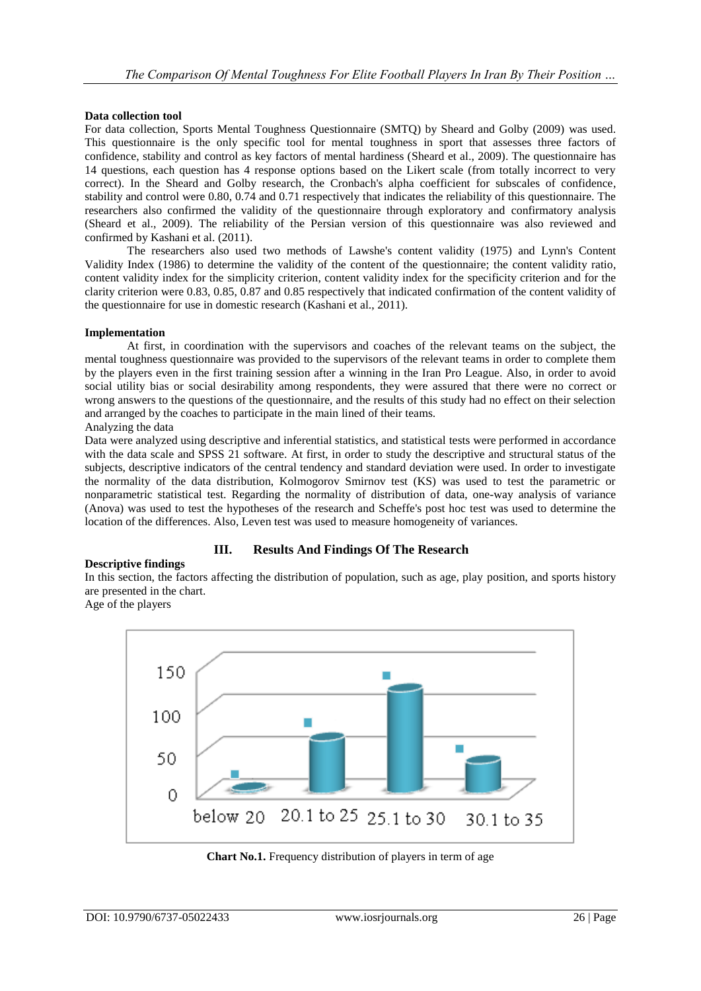## **Data collection tool**

For data collection, Sports Mental Toughness Questionnaire (SMTQ) by Sheard and Golby (2009) was used. This questionnaire is the only specific tool for mental toughness in sport that assesses three factors of confidence, stability and control as key factors of mental hardiness (Sheard et al., 2009). The questionnaire has 14 questions, each question has 4 response options based on the Likert scale (from totally incorrect to very correct). In the Sheard and Golby research, the Cronbach's alpha coefficient for subscales of confidence, stability and control were 0.80, 0.74 and 0.71 respectively that indicates the reliability of this questionnaire. The researchers also confirmed the validity of the questionnaire through exploratory and confirmatory analysis (Sheard et al., 2009). The reliability of the Persian version of this questionnaire was also reviewed and confirmed by Kashani et al. (2011).

The researchers also used two methods of Lawshe's content validity (1975) and Lynn's Content Validity Index (1986) to determine the validity of the content of the questionnaire; the content validity ratio, content validity index for the simplicity criterion, content validity index for the specificity criterion and for the clarity criterion were 0.83, 0.85, 0.87 and 0.85 respectively that indicated confirmation of the content validity of the questionnaire for use in domestic research (Kashani et al., 2011).

## **Implementation**

At first, in coordination with the supervisors and coaches of the relevant teams on the subject, the mental toughness questionnaire was provided to the supervisors of the relevant teams in order to complete them by the players even in the first training session after a winning in the Iran Pro League. Also, in order to avoid social utility bias or social desirability among respondents, they were assured that there were no correct or wrong answers to the questions of the questionnaire, and the results of this study had no effect on their selection and arranged by the coaches to participate in the main lined of their teams.

## Analyzing the data

Data were analyzed using descriptive and inferential statistics, and statistical tests were performed in accordance with the data scale and SPSS 21 software. At first, in order to study the descriptive and structural status of the subjects, descriptive indicators of the central tendency and standard deviation were used. In order to investigate the normality of the data distribution, Kolmogorov Smirnov test (KS) was used to test the parametric or nonparametric statistical test. Regarding the normality of distribution of data, one-way analysis of variance (Anova) was used to test the hypotheses of the research and Scheffe's post hoc test was used to determine the location of the differences. Also, Leven test was used to measure homogeneity of variances.

# **III. Results And Findings Of The Research**

#### **Descriptive findings**

In this section, the factors affecting the distribution of population, such as age, play position, and sports history are presented in the chart.

Age of the players



**Chart No.1.** Frequency distribution of players in term of age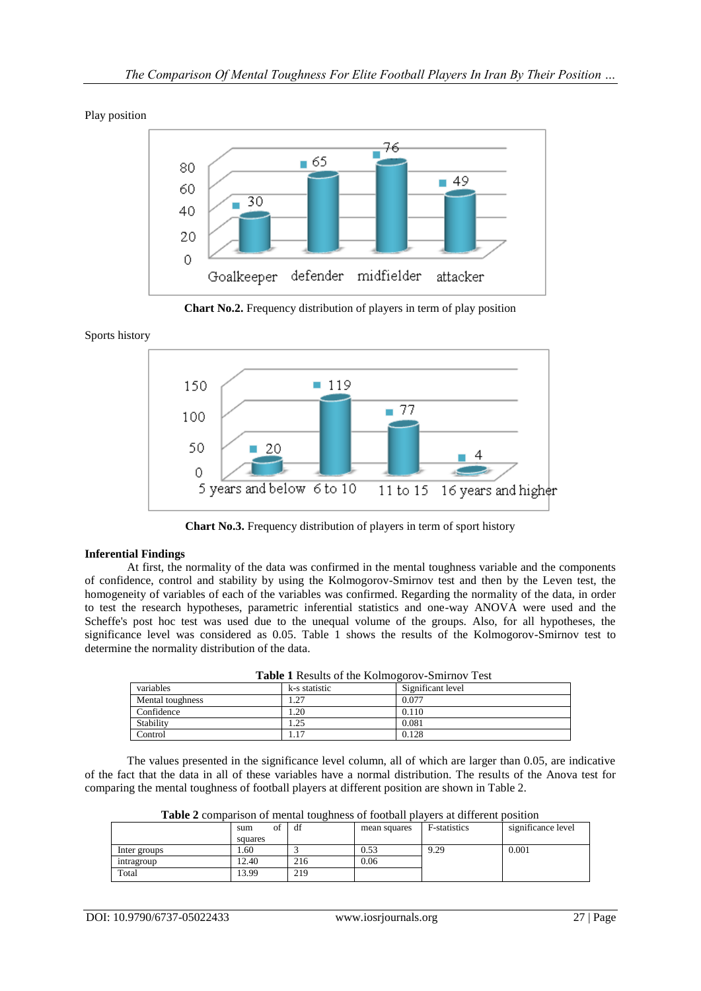Play position



**Chart No.2.** Frequency distribution of players in term of play position

## Sports history



**Chart No.3.** Frequency distribution of players in term of sport history

# **Inferential Findings**

At first, the normality of the data was confirmed in the mental toughness variable and the components of confidence, control and stability by using the Kolmogorov-Smirnov test and then by the Leven test, the homogeneity of variables of each of the variables was confirmed. Regarding the normality of the data, in order to test the research hypotheses, parametric inferential statistics and one-way ANOVA were used and the Scheffe's post hoc test was used due to the unequal volume of the groups. Also, for all hypotheses, the significance level was considered as 0.05. Table 1 shows the results of the Kolmogorov-Smirnov test to determine the normality distribution of the data.

| Table 1 Results of the Kolmogorov-Smirnov Test |  |
|------------------------------------------------|--|
|------------------------------------------------|--|

| variables        | k-s statistic | Significant level |
|------------------|---------------|-------------------|
| Mental toughness | . 27          | 0.077             |
| Confidence       | .20           | 0.110             |
| Stability        | l.25          | 0.081             |
| Control          | .17           | 0.128             |

The values presented in the significance level column, all of which are larger than 0.05, are indicative of the fact that the data in all of these variables have a normal distribution. The results of the Anova test for comparing the mental toughness of football players at different position are shown in Table 2.

| <b>Table 2</b> combarison of memar toughness of footban blavers at unferent bosition |           |     |              |              |                    |
|--------------------------------------------------------------------------------------|-----------|-----|--------------|--------------|--------------------|
|                                                                                      | Ωt<br>sum | df  | mean squares | F-statistics | significance level |
|                                                                                      | squares   |     |              |              |                    |
| Inter groups                                                                         | 1.60      |     | 0.53         | 9.29         | 0.001              |
| intragroup                                                                           | 12.40     | 216 | 0.06         |              |                    |
| Total                                                                                | 13.99     | 219 |              |              |                    |

**Table 2** comparison of mental toughness of football players at different position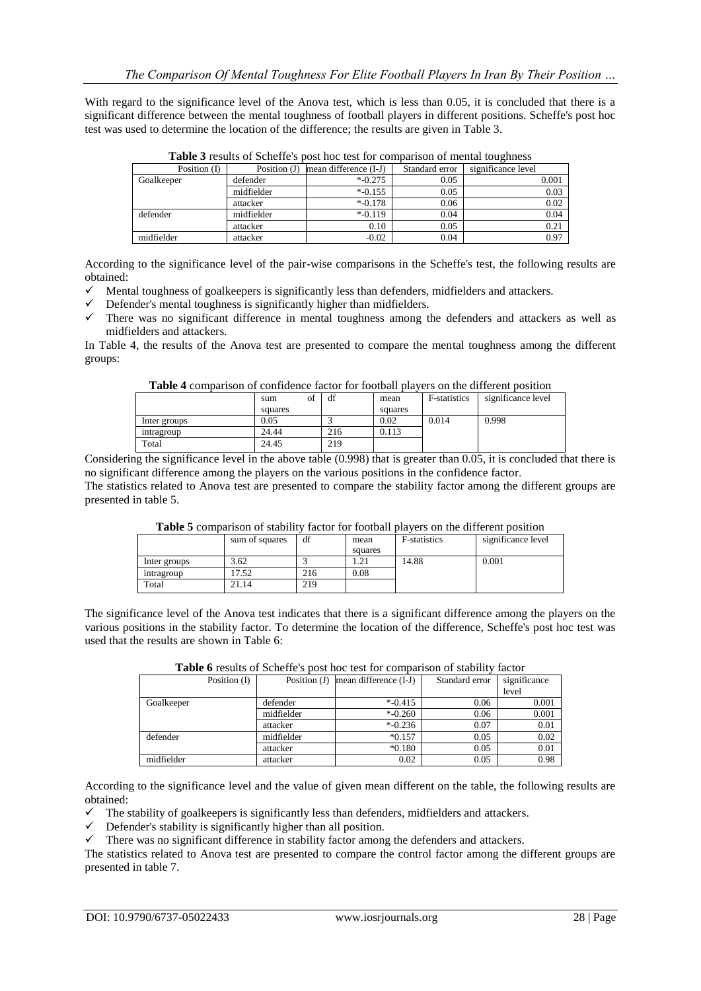With regard to the significance level of the Anova test, which is less than 0.05, it is concluded that there is a significant difference between the mental toughness of football players in different positions. Scheffe's post hoc test was used to determine the location of the difference; the results are given in Table 3.

| Position $(I)$ | Position $(J)$ | mean difference (I-J) | Standard error | significance level |
|----------------|----------------|-----------------------|----------------|--------------------|
| Goalkeeper     | defender       | $*$ -0.275            | 0.05           | 0.001              |
|                | midfielder     | $*$ -0.155            | 0.05           | 0.03               |
|                | attacker       | $*$ -0.178            | 0.06           | 0.02               |
| defender       | midfielder     | $*$ -0.119            | 0.04           | 0.04               |
|                | attacker       | 0.10                  | 0.05           | 0.21               |
| midfielder     | attacker       | $-0.02$               | 0.04           | 0.97               |
|                |                |                       |                |                    |

**Table 3** results of Scheffe's post hoc test for comparison of mental toughness

According to the significance level of the pair-wise comparisons in the Scheffe's test, the following results are obtained:

- $\checkmark$  Mental toughness of goalkeepers is significantly less than defenders, midfielders and attackers.
- $\checkmark$  Defender's mental toughness is significantly higher than midfielders.
- $\checkmark$  There was no significant difference in mental toughness among the defenders and attackers as well as midfielders and attackers.

In Table 4, the results of the Anova test are presented to compare the mental toughness among the different groups:

**Table 4** comparison of confidence factor for football players on the different position

|              | sum<br>01 | df  | mean    | <b>F</b> -statistics | significance level |
|--------------|-----------|-----|---------|----------------------|--------------------|
|              | squares   |     | squares |                      |                    |
| Inter groups | 0.05      |     | 0.02    | 0.014                | 0.998              |
| intragroup   | 24.44     | 216 | 0.113   |                      |                    |
| Total        | 24.45     | 219 |         |                      |                    |

Considering the significance level in the above table (0.998) that is greater than 0.05, it is concluded that there is no significant difference among the players on the various positions in the confidence factor. The statistics related to Anova test are presented to compare the stability factor among the different groups are presented in table 5.

| Table 3 combarison of stability factor for football blavers on the unferent boshion |                |     |         |                     |                    |
|-------------------------------------------------------------------------------------|----------------|-----|---------|---------------------|--------------------|
|                                                                                     | sum of squares | df  | mean    | <b>F-statistics</b> | significance level |
|                                                                                     |                |     | squares |                     |                    |
| Inter groups                                                                        | 3.62           |     |         | 14.88               | 0.001              |
| intragroup                                                                          | 7.52           | 216 | 0.08    |                     |                    |
| Total                                                                               | 21.14          | 219 |         |                     |                    |

**Table 5** comparison of stability factor for football players on the different position

The significance level of the Anova test indicates that there is a significant difference among the players on the various positions in the stability factor. To determine the location of the difference, Scheffe's post hoc test was used that the results are shown in Table 6:

| <b>Table o</b> results of Scheffe's post-floc test for comparison of stability factor |                                        |            |                |              |  |  |
|---------------------------------------------------------------------------------------|----------------------------------------|------------|----------------|--------------|--|--|
| Position (I)                                                                          | Position $(J)$ mean difference $(I-J)$ |            | Standard error | significance |  |  |
|                                                                                       |                                        |            |                | level        |  |  |
| Goalkeeper                                                                            | defender                               | $* -0.415$ | 0.06           | 0.001        |  |  |
|                                                                                       | midfielder                             | $* -0.260$ | 0.06           | 0.001        |  |  |
|                                                                                       | attacker                               | $*$ -0.236 | 0.07           | 0.01         |  |  |
| defender                                                                              | midfielder                             | $*0.157$   | 0.05           | 0.02         |  |  |
|                                                                                       | attacker                               | $*0.180$   | 0.05           | 0.01         |  |  |
| midfielder                                                                            | attacker                               | 0.02       | 0.05           | 0.98         |  |  |

**Table 6** results of Scheffe's post hoc test for comparison of stability factor

According to the significance level and the value of given mean different on the table, the following results are obtained:

 $\checkmark$  The stability of goalkeepers is significantly less than defenders, midfielders and attackers.

- Defender's stability is significantly higher than all position.
- $\checkmark$  There was no significant difference in stability factor among the defenders and attackers.

The statistics related to Anova test are presented to compare the control factor among the different groups are presented in table 7.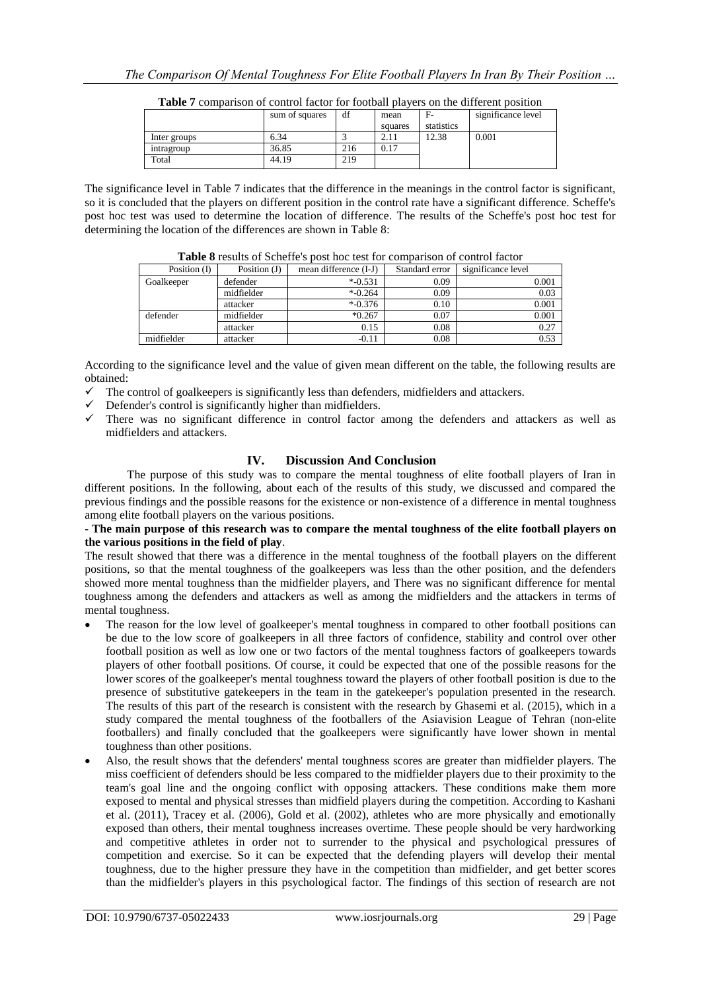|              | sum of squares | df  | mean    | - F-       | significance level |
|--------------|----------------|-----|---------|------------|--------------------|
|              |                |     | squares | statistics |                    |
| Inter groups | 6.34           |     | 2.11    | 12.38      | 0.001              |
| intragroup   | 36.85          | 216 | 0.17    |            |                    |
| Total        | 44.19          | 219 |         |            |                    |

**Table 7** comparison of control factor for football players on the different position

The significance level in Table 7 indicates that the difference in the meanings in the control factor is significant, so it is concluded that the players on different position in the control rate have a significant difference. Scheffe's post hoc test was used to determine the location of difference. The results of the Scheffe's post hoc test for determining the location of the differences are shown in Table 8:

|                | THE REPORT OF PERMIT AND DONE HOT REAL POINT COMMODITION COMMON THREE. |                       |                |                    |  |  |  |
|----------------|------------------------------------------------------------------------|-----------------------|----------------|--------------------|--|--|--|
| Position $(I)$ | Position $(J)$                                                         | mean difference (I-J) | Standard error | significance level |  |  |  |
| Goalkeeper     | defender                                                               | $*$ -0.531            | 0.09           | 0.001              |  |  |  |
|                | midfielder                                                             | $* -0.264$            | 0.09           | 0.03               |  |  |  |
|                | attacker                                                               | $*$ -0.376            | 0.10           | 0.001              |  |  |  |
| defender       | midfielder                                                             | $*0.267$              | 0.07           | 0.001              |  |  |  |
|                | attacker                                                               | 0.15                  | 0.08           | 0.27               |  |  |  |
| midfielder     | attacker                                                               | $-0.11$               | 0.08           | 0.53               |  |  |  |

**Table 8** results of Scheffe's post hoc test for comparison of control factor

According to the significance level and the value of given mean different on the table, the following results are obtained:

- $\checkmark$  The control of goalkeepers is significantly less than defenders, midfielders and attackers.
- $\checkmark$  Defender's control is significantly higher than midfielders.
- $\checkmark$  There was no significant difference in control factor among the defenders and attackers as well as midfielders and attackers.

# **IV. Discussion And Conclusion**

The purpose of this study was to compare the mental toughness of elite football players of Iran in different positions. In the following, about each of the results of this study, we discussed and compared the previous findings and the possible reasons for the existence or non-existence of a difference in mental toughness among elite football players on the various positions.

#### - **The main purpose of this research was to compare the mental toughness of the elite football players on the various positions in the field of play**.

The result showed that there was a difference in the mental toughness of the football players on the different positions, so that the mental toughness of the goalkeepers was less than the other position, and the defenders showed more mental toughness than the midfielder players, and There was no significant difference for mental toughness among the defenders and attackers as well as among the midfielders and the attackers in terms of mental toughness.

- The reason for the low level of goalkeeper's mental toughness in compared to other football positions can be due to the low score of goalkeepers in all three factors of confidence, stability and control over other football position as well as low one or two factors of the mental toughness factors of goalkeepers towards players of other football positions. Of course, it could be expected that one of the possible reasons for the lower scores of the goalkeeper's mental toughness toward the players of other football position is due to the presence of substitutive gatekeepers in the team in the gatekeeper's population presented in the research. The results of this part of the research is consistent with the research by Ghasemi et al. (2015), which in a study compared the mental toughness of the footballers of the Asiavision League of Tehran (non-elite footballers) and finally concluded that the goalkeepers were significantly have lower shown in mental toughness than other positions.
- Also, the result shows that the defenders' mental toughness scores are greater than midfielder players. The miss coefficient of defenders should be less compared to the midfielder players due to their proximity to the team's goal line and the ongoing conflict with opposing attackers. These conditions make them more exposed to mental and physical stresses than midfield players during the competition. According to Kashani et al. (2011), Tracey et al. (2006), Gold et al. (2002), athletes who are more physically and emotionally exposed than others, their mental toughness increases overtime. These people should be very hardworking and competitive athletes in order not to surrender to the physical and psychological pressures of competition and exercise. So it can be expected that the defending players will develop their mental toughness, due to the higher pressure they have in the competition than midfielder, and get better scores than the midfielder's players in this psychological factor. The findings of this section of research are not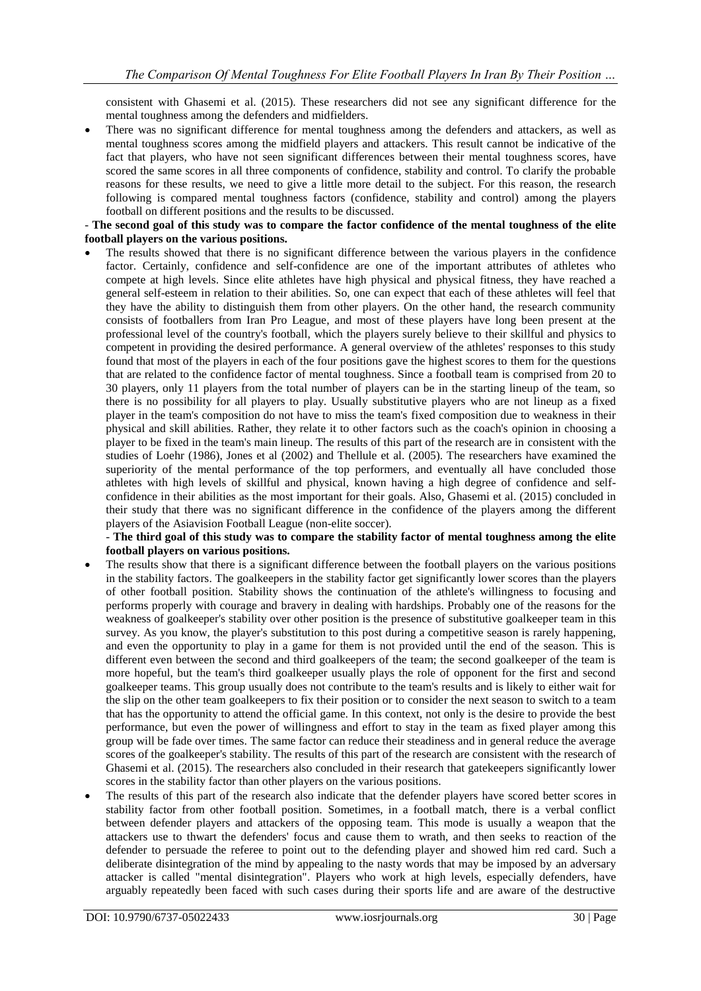consistent with Ghasemi et al. (2015). These researchers did not see any significant difference for the mental toughness among the defenders and midfielders.

 There was no significant difference for mental toughness among the defenders and attackers, as well as mental toughness scores among the midfield players and attackers. This result cannot be indicative of the fact that players, who have not seen significant differences between their mental toughness scores, have scored the same scores in all three components of confidence, stability and control. To clarify the probable reasons for these results, we need to give a little more detail to the subject. For this reason, the research following is compared mental toughness factors (confidence, stability and control) among the players football on different positions and the results to be discussed.

#### - **The second goal of this study was to compare the factor confidence of the mental toughness of the elite football players on the various positions.**

 The results showed that there is no significant difference between the various players in the confidence factor. Certainly, confidence and self-confidence are one of the important attributes of athletes who compete at high levels. Since elite athletes have high physical and physical fitness, they have reached a general self-esteem in relation to their abilities. So, one can expect that each of these athletes will feel that they have the ability to distinguish them from other players. On the other hand, the research community consists of footballers from Iran Pro League, and most of these players have long been present at the professional level of the country's football, which the players surely believe to their skillful and physics to competent in providing the desired performance. A general overview of the athletes' responses to this study found that most of the players in each of the four positions gave the highest scores to them for the questions that are related to the confidence factor of mental toughness. Since a football team is comprised from 20 to 30 players, only 11 players from the total number of players can be in the starting lineup of the team, so there is no possibility for all players to play. Usually substitutive players who are not lineup as a fixed player in the team's composition do not have to miss the team's fixed composition due to weakness in their physical and skill abilities. Rather, they relate it to other factors such as the coach's opinion in choosing a player to be fixed in the team's main lineup. The results of this part of the research are in consistent with the studies of Loehr (1986), Jones et al (2002) and Thellule et al. (2005). The researchers have examined the superiority of the mental performance of the top performers, and eventually all have concluded those athletes with high levels of skillful and physical, known having a high degree of confidence and selfconfidence in their abilities as the most important for their goals. Also, Ghasemi et al. (2015) concluded in their study that there was no significant difference in the confidence of the players among the different players of the Asiavision Football League (non-elite soccer).

- **The third goal of this study was to compare the stability factor of mental toughness among the elite football players on various positions.**

- The results show that there is a significant difference between the football players on the various positions in the stability factors. The goalkeepers in the stability factor get significantly lower scores than the players of other football position. Stability shows the continuation of the athlete's willingness to focusing and performs properly with courage and bravery in dealing with hardships. Probably one of the reasons for the weakness of goalkeeper's stability over other position is the presence of substitutive goalkeeper team in this survey. As you know, the player's substitution to this post during a competitive season is rarely happening, and even the opportunity to play in a game for them is not provided until the end of the season. This is different even between the second and third goalkeepers of the team; the second goalkeeper of the team is more hopeful, but the team's third goalkeeper usually plays the role of opponent for the first and second goalkeeper teams. This group usually does not contribute to the team's results and is likely to either wait for the slip on the other team goalkeepers to fix their position or to consider the next season to switch to a team that has the opportunity to attend the official game. In this context, not only is the desire to provide the best performance, but even the power of willingness and effort to stay in the team as fixed player among this group will be fade over times. The same factor can reduce their steadiness and in general reduce the average scores of the goalkeeper's stability. The results of this part of the research are consistent with the research of Ghasemi et al. (2015). The researchers also concluded in their research that gatekeepers significantly lower scores in the stability factor than other players on the various positions.
- The results of this part of the research also indicate that the defender players have scored better scores in stability factor from other football position. Sometimes, in a football match, there is a verbal conflict between defender players and attackers of the opposing team. This mode is usually a weapon that the attackers use to thwart the defenders' focus and cause them to wrath, and then seeks to reaction of the defender to persuade the referee to point out to the defending player and showed him red card. Such a deliberate disintegration of the mind by appealing to the nasty words that may be imposed by an adversary attacker is called "mental disintegration". Players who work at high levels, especially defenders, have arguably repeatedly been faced with such cases during their sports life and are aware of the destructive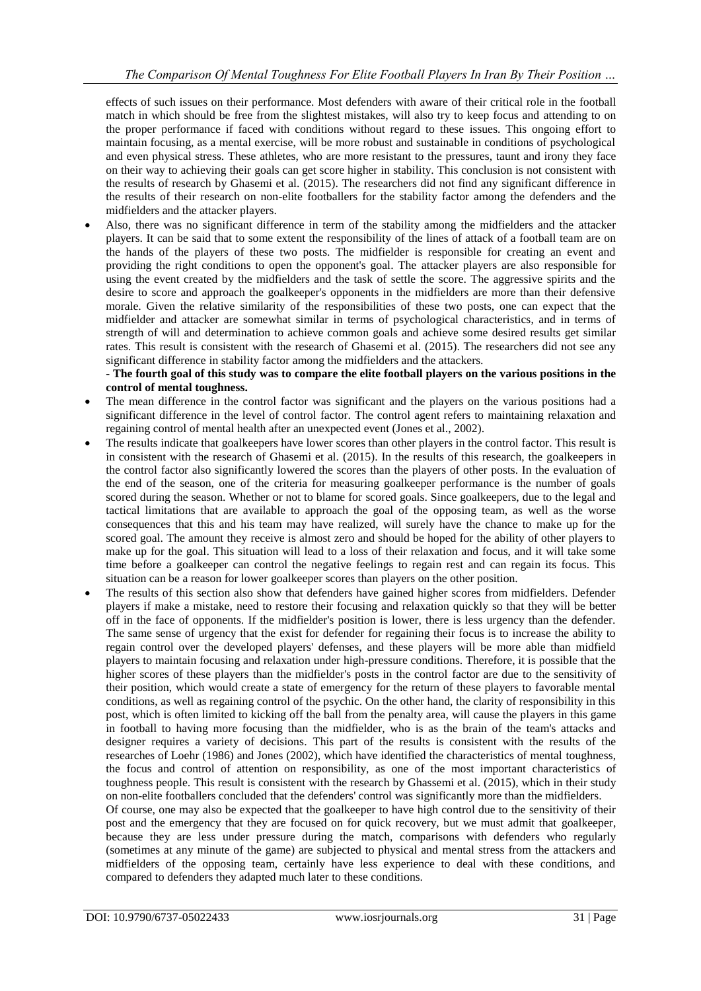effects of such issues on their performance. Most defenders with aware of their critical role in the football match in which should be free from the slightest mistakes, will also try to keep focus and attending to on the proper performance if faced with conditions without regard to these issues. This ongoing effort to maintain focusing, as a mental exercise, will be more robust and sustainable in conditions of psychological and even physical stress. These athletes, who are more resistant to the pressures, taunt and irony they face on their way to achieving their goals can get score higher in stability. This conclusion is not consistent with the results of research by Ghasemi et al. (2015). The researchers did not find any significant difference in the results of their research on non-elite footballers for the stability factor among the defenders and the midfielders and the attacker players.

 Also, there was no significant difference in term of the stability among the midfielders and the attacker players. It can be said that to some extent the responsibility of the lines of attack of a football team are on the hands of the players of these two posts. The midfielder is responsible for creating an event and providing the right conditions to open the opponent's goal. The attacker players are also responsible for using the event created by the midfielders and the task of settle the score. The aggressive spirits and the desire to score and approach the goalkeeper's opponents in the midfielders are more than their defensive morale. Given the relative similarity of the responsibilities of these two posts, one can expect that the midfielder and attacker are somewhat similar in terms of psychological characteristics, and in terms of strength of will and determination to achieve common goals and achieve some desired results get similar rates. This result is consistent with the research of Ghasemi et al. (2015). The researchers did not see any significant difference in stability factor among the midfielders and the attackers.

## **- The fourth goal of this study was to compare the elite football players on the various positions in the control of mental toughness.**

- The mean difference in the control factor was significant and the players on the various positions had a significant difference in the level of control factor. The control agent refers to maintaining relaxation and regaining control of mental health after an unexpected event (Jones et al., 2002).
- The results indicate that goalkeepers have lower scores than other players in the control factor. This result is in consistent with the research of Ghasemi et al. (2015). In the results of this research, the goalkeepers in the control factor also significantly lowered the scores than the players of other posts. In the evaluation of the end of the season, one of the criteria for measuring goalkeeper performance is the number of goals scored during the season. Whether or not to blame for scored goals. Since goalkeepers, due to the legal and tactical limitations that are available to approach the goal of the opposing team, as well as the worse consequences that this and his team may have realized, will surely have the chance to make up for the scored goal. The amount they receive is almost zero and should be hoped for the ability of other players to make up for the goal. This situation will lead to a loss of their relaxation and focus, and it will take some time before a goalkeeper can control the negative feelings to regain rest and can regain its focus. This situation can be a reason for lower goalkeeper scores than players on the other position.
- The results of this section also show that defenders have gained higher scores from midfielders. Defender players if make a mistake, need to restore their focusing and relaxation quickly so that they will be better off in the face of opponents. If the midfielder's position is lower, there is less urgency than the defender. The same sense of urgency that the exist for defender for regaining their focus is to increase the ability to regain control over the developed players' defenses, and these players will be more able than midfield players to maintain focusing and relaxation under high-pressure conditions. Therefore, it is possible that the higher scores of these players than the midfielder's posts in the control factor are due to the sensitivity of their position, which would create a state of emergency for the return of these players to favorable mental conditions, as well as regaining control of the psychic. On the other hand, the clarity of responsibility in this post, which is often limited to kicking off the ball from the penalty area, will cause the players in this game in football to having more focusing than the midfielder, who is as the brain of the team's attacks and designer requires a variety of decisions. This part of the results is consistent with the results of the researches of Loehr (1986) and Jones (2002), which have identified the characteristics of mental toughness, the focus and control of attention on responsibility, as one of the most important characteristics of toughness people. This result is consistent with the research by Ghassemi et al. (2015), which in their study on non-elite footballers concluded that the defenders' control was significantly more than the midfielders.

Of course, one may also be expected that the goalkeeper to have high control due to the sensitivity of their post and the emergency that they are focused on for quick recovery, but we must admit that goalkeeper, because they are less under pressure during the match, comparisons with defenders who regularly (sometimes at any minute of the game) are subjected to physical and mental stress from the attackers and midfielders of the opposing team, certainly have less experience to deal with these conditions, and compared to defenders they adapted much later to these conditions.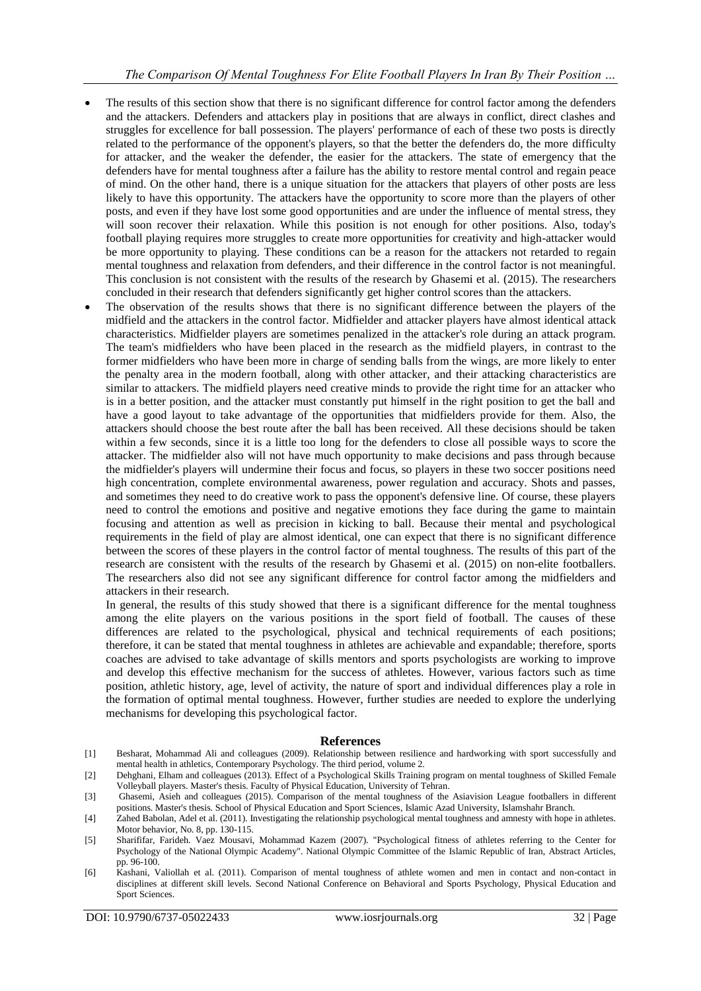- The results of this section show that there is no significant difference for control factor among the defenders and the attackers. Defenders and attackers play in positions that are always in conflict, direct clashes and struggles for excellence for ball possession. The players' performance of each of these two posts is directly related to the performance of the opponent's players, so that the better the defenders do, the more difficulty for attacker, and the weaker the defender, the easier for the attackers. The state of emergency that the defenders have for mental toughness after a failure has the ability to restore mental control and regain peace of mind. On the other hand, there is a unique situation for the attackers that players of other posts are less likely to have this opportunity. The attackers have the opportunity to score more than the players of other posts, and even if they have lost some good opportunities and are under the influence of mental stress, they will soon recover their relaxation. While this position is not enough for other positions. Also, today's football playing requires more struggles to create more opportunities for creativity and high-attacker would be more opportunity to playing. These conditions can be a reason for the attackers not retarded to regain mental toughness and relaxation from defenders, and their difference in the control factor is not meaningful. This conclusion is not consistent with the results of the research by Ghasemi et al. (2015). The researchers concluded in their research that defenders significantly get higher control scores than the attackers.
- The observation of the results shows that there is no significant difference between the players of the midfield and the attackers in the control factor. Midfielder and attacker players have almost identical attack characteristics. Midfielder players are sometimes penalized in the attacker's role during an attack program. The team's midfielders who have been placed in the research as the midfield players, in contrast to the former midfielders who have been more in charge of sending balls from the wings, are more likely to enter the penalty area in the modern football, along with other attacker, and their attacking characteristics are similar to attackers. The midfield players need creative minds to provide the right time for an attacker who is in a better position, and the attacker must constantly put himself in the right position to get the ball and have a good layout to take advantage of the opportunities that midfielders provide for them. Also, the attackers should choose the best route after the ball has been received. All these decisions should be taken within a few seconds, since it is a little too long for the defenders to close all possible ways to score the attacker. The midfielder also will not have much opportunity to make decisions and pass through because the midfielder's players will undermine their focus and focus, so players in these two soccer positions need high concentration, complete environmental awareness, power regulation and accuracy. Shots and passes, and sometimes they need to do creative work to pass the opponent's defensive line. Of course, these players need to control the emotions and positive and negative emotions they face during the game to maintain focusing and attention as well as precision in kicking to ball. Because their mental and psychological requirements in the field of play are almost identical, one can expect that there is no significant difference between the scores of these players in the control factor of mental toughness. The results of this part of the research are consistent with the results of the research by Ghasemi et al. (2015) on non-elite footballers. The researchers also did not see any significant difference for control factor among the midfielders and attackers in their research.

In general, the results of this study showed that there is a significant difference for the mental toughness among the elite players on the various positions in the sport field of football. The causes of these differences are related to the psychological, physical and technical requirements of each positions; therefore, it can be stated that mental toughness in athletes are achievable and expandable; therefore, sports coaches are advised to take advantage of skills mentors and sports psychologists are working to improve and develop this effective mechanism for the success of athletes. However, various factors such as time position, athletic history, age, level of activity, the nature of sport and individual differences play a role in the formation of optimal mental toughness. However, further studies are needed to explore the underlying mechanisms for developing this psychological factor.

#### **References**

- [1] Besharat, Mohammad Ali and colleagues (2009). Relationship between resilience and hardworking with sport successfully and mental health in athletics, Contemporary Psychology. The third period, volume 2.
- [2] Dehghani, Elham and colleagues (2013). Effect of a Psychological Skills Training program on mental toughness of Skilled Female Volleyball players. Master's thesis. Faculty of Physical Education, University of Tehran.
- [3] Ghasemi, Asieh and colleagues (2015). Comparison of the mental toughness of the Asiavision League footballers in different positions. Master's thesis. School of Physical Education and Sport Sciences, Islamic Azad University, Islamshahr Branch.
- [4] Zahed Babolan, Adel et al. (2011). Investigating the relationship psychological mental toughness and amnesty with hope in athletes. Motor behavior, No. 8, pp. 130-115.
- [5] Sharififar, Farideh. Vaez Mousavi, Mohammad Kazem (2007). "Psychological fitness of athletes referring to the Center for Psychology of the National Olympic Academy". National Olympic Committee of the Islamic Republic of Iran, Abstract Articles, pp. 96-100.
- [6] Kashani, Valiollah et al. (2011). Comparison of mental toughness of athlete women and men in contact and non-contact in disciplines at different skill levels. Second National Conference on Behavioral and Sports Psychology, Physical Education and Sport Sciences.